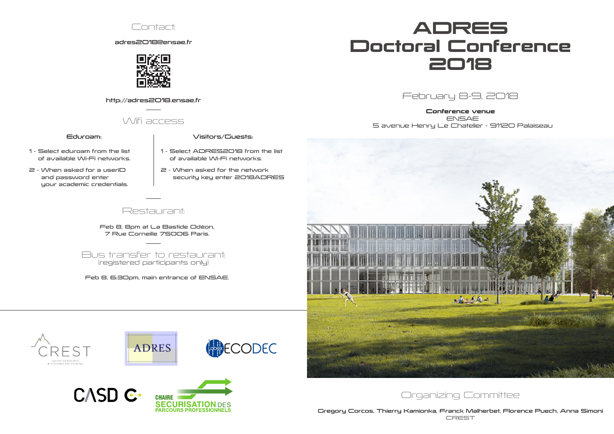# ADRES Doctoral Conference 2018

February 8-9, 2018

Gregory Corcos, Thierry Kamionka, Franck Malherbet, Florence Puech, Anna Simoni **CREST** 

Conference venue ENSAE 5 avenue Henry Le Chatelier - 91120 Palaiseau







adres2018@ensae.fr



http://adres2018.ensae.fr

## Wifi access

### Eduroam:

- 1 Select eduroam from the list of available Wi-Fi networks.
- 2 When asked for a userID and password enter your academic credentials.

#### Visitors/Guests:

- 1 Select ADRES2018 from the list of available Wi-Fi networks.
- 2 When asked for the network security key enter 2018ADRES

### Restaurant:

Feb 8, 8pm at La Bastide Odéon, 7 Rue Corneille 75006 Paris.

Bus transfer to restaurant: (registered participants only)

Feb 8, 6:30pm, main entrance of ENSAE.